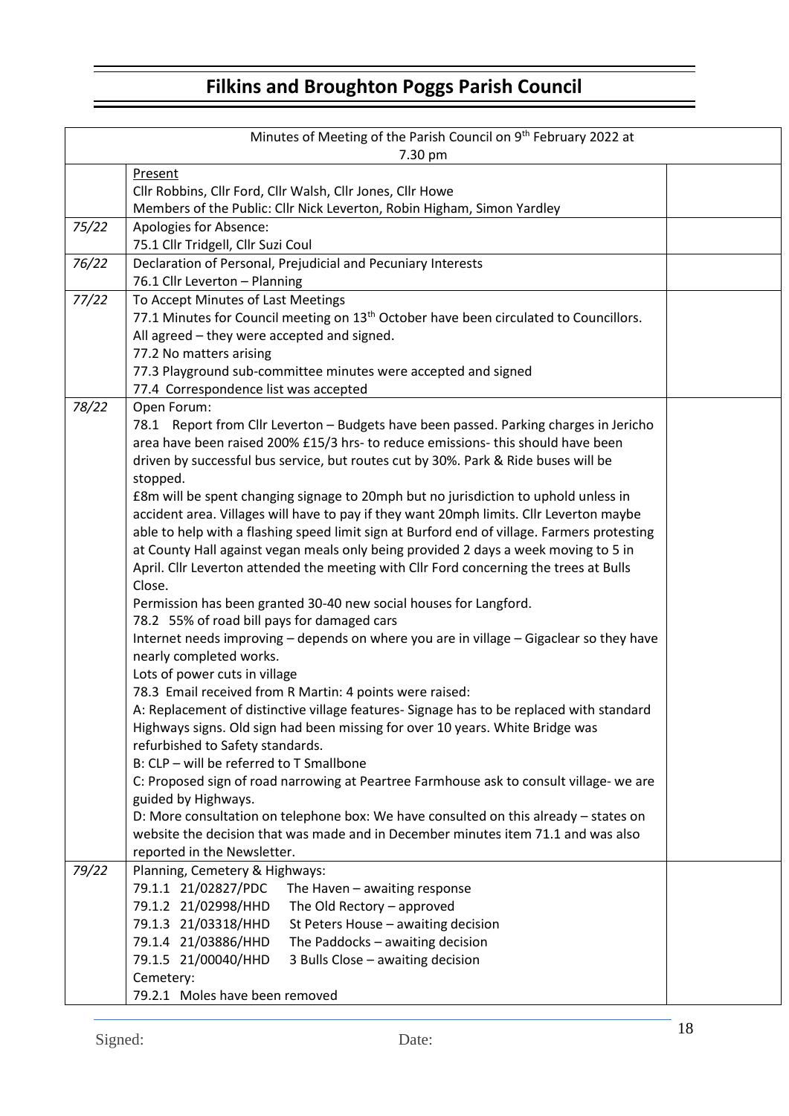# **Filkins and Broughton Poggs Parish Council**

|       | Minutes of Meeting of the Parish Council on 9 <sup>th</sup> February 2022 at<br>7.30 pm           |  |  |  |  |  |
|-------|---------------------------------------------------------------------------------------------------|--|--|--|--|--|
|       | Present                                                                                           |  |  |  |  |  |
|       | Cllr Robbins, Cllr Ford, Cllr Walsh, Cllr Jones, Cllr Howe                                        |  |  |  |  |  |
|       | Members of the Public: Cllr Nick Leverton, Robin Higham, Simon Yardley                            |  |  |  |  |  |
| 75/22 | Apologies for Absence:                                                                            |  |  |  |  |  |
|       | 75.1 Cllr Tridgell, Cllr Suzi Coul                                                                |  |  |  |  |  |
| 76/22 | Declaration of Personal, Prejudicial and Pecuniary Interests                                      |  |  |  |  |  |
|       | 76.1 Cllr Leverton - Planning                                                                     |  |  |  |  |  |
| 77/22 | To Accept Minutes of Last Meetings                                                                |  |  |  |  |  |
|       | 77.1 Minutes for Council meeting on 13 <sup>th</sup> October have been circulated to Councillors. |  |  |  |  |  |
|       | All agreed - they were accepted and signed.                                                       |  |  |  |  |  |
|       | 77.2 No matters arising                                                                           |  |  |  |  |  |
|       | 77.3 Playground sub-committee minutes were accepted and signed                                    |  |  |  |  |  |
|       | 77.4 Correspondence list was accepted                                                             |  |  |  |  |  |
| 78/22 | Open Forum:                                                                                       |  |  |  |  |  |
|       | 78.1 Report from Cllr Leverton - Budgets have been passed. Parking charges in Jericho             |  |  |  |  |  |
|       | area have been raised 200% £15/3 hrs- to reduce emissions- this should have been                  |  |  |  |  |  |
|       | driven by successful bus service, but routes cut by 30%. Park & Ride buses will be                |  |  |  |  |  |
|       | stopped.                                                                                          |  |  |  |  |  |
|       | £8m will be spent changing signage to 20mph but no jurisdiction to uphold unless in               |  |  |  |  |  |
|       | accident area. Villages will have to pay if they want 20mph limits. Cllr Leverton maybe           |  |  |  |  |  |
|       | able to help with a flashing speed limit sign at Burford end of village. Farmers protesting       |  |  |  |  |  |
|       | at County Hall against vegan meals only being provided 2 days a week moving to 5 in               |  |  |  |  |  |
|       | April. Cllr Leverton attended the meeting with Cllr Ford concerning the trees at Bulls            |  |  |  |  |  |
|       | Close.                                                                                            |  |  |  |  |  |
|       | Permission has been granted 30-40 new social houses for Langford.                                 |  |  |  |  |  |
|       | 78.2 55% of road bill pays for damaged cars                                                       |  |  |  |  |  |
|       | Internet needs improving - depends on where you are in village - Gigaclear so they have           |  |  |  |  |  |
|       | nearly completed works.                                                                           |  |  |  |  |  |
|       | Lots of power cuts in village                                                                     |  |  |  |  |  |
|       | 78.3 Email received from R Martin: 4 points were raised:                                          |  |  |  |  |  |
|       | A: Replacement of distinctive village features- Signage has to be replaced with standard          |  |  |  |  |  |
|       | Highways signs. Old sign had been missing for over 10 years. White Bridge was                     |  |  |  |  |  |
|       | refurbished to Safety standards.                                                                  |  |  |  |  |  |
|       | B: CLP - will be referred to T Smallbone                                                          |  |  |  |  |  |
|       | C: Proposed sign of road narrowing at Peartree Farmhouse ask to consult village- we are           |  |  |  |  |  |
|       | guided by Highways.                                                                               |  |  |  |  |  |
|       | D: More consultation on telephone box: We have consulted on this already - states on              |  |  |  |  |  |
|       | website the decision that was made and in December minutes item 71.1 and was also                 |  |  |  |  |  |
|       | reported in the Newsletter.                                                                       |  |  |  |  |  |
| 79/22 | Planning, Cemetery & Highways:                                                                    |  |  |  |  |  |
|       | 79.1.1 21/02827/PDC<br>The Haven - awaiting response                                              |  |  |  |  |  |
|       | 79.1.2 21/02998/HHD<br>The Old Rectory - approved                                                 |  |  |  |  |  |
|       | 79.1.3 21/03318/HHD<br>St Peters House - awaiting decision                                        |  |  |  |  |  |
|       | 79.1.4 21/03886/HHD<br>The Paddocks - awaiting decision                                           |  |  |  |  |  |
|       | 79.1.5 21/00040/HHD<br>3 Bulls Close - awaiting decision                                          |  |  |  |  |  |
|       | Cemetery:                                                                                         |  |  |  |  |  |
|       | 79.2.1 Moles have been removed                                                                    |  |  |  |  |  |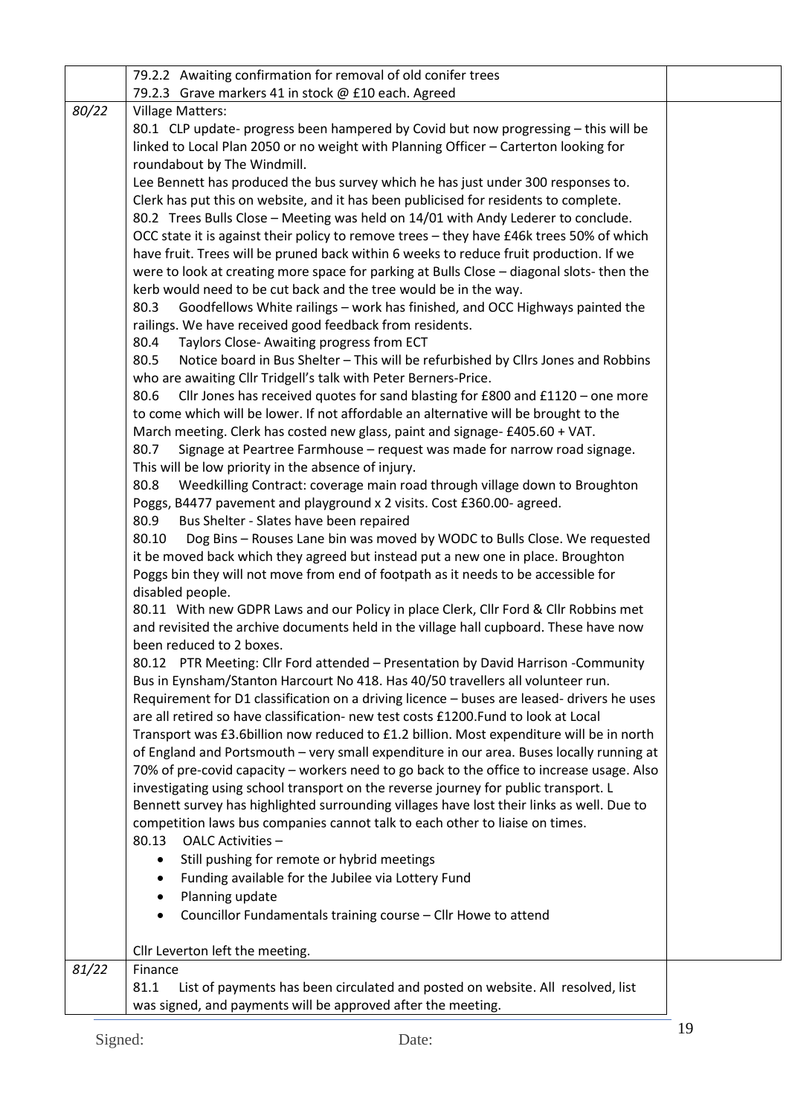|       | 79.2.2 Awaiting confirmation for removal of old conifer trees                              |  |
|-------|--------------------------------------------------------------------------------------------|--|
|       | 79.2.3 Grave markers 41 in stock @ £10 each. Agreed                                        |  |
| 80/22 | <b>Village Matters:</b>                                                                    |  |
|       | 80.1 CLP update- progress been hampered by Covid but now progressing - this will be        |  |
|       | linked to Local Plan 2050 or no weight with Planning Officer - Carterton looking for       |  |
|       | roundabout by The Windmill.                                                                |  |
|       | Lee Bennett has produced the bus survey which he has just under 300 responses to.          |  |
|       | Clerk has put this on website, and it has been publicised for residents to complete.       |  |
|       | 80.2 Trees Bulls Close - Meeting was held on 14/01 with Andy Lederer to conclude.          |  |
|       | OCC state it is against their policy to remove trees - they have £46k trees 50% of which   |  |
|       | have fruit. Trees will be pruned back within 6 weeks to reduce fruit production. If we     |  |
|       | were to look at creating more space for parking at Bulls Close - diagonal slots- then the  |  |
|       | kerb would need to be cut back and the tree would be in the way.                           |  |
|       | Goodfellows White railings - work has finished, and OCC Highways painted the<br>80.3       |  |
|       | railings. We have received good feedback from residents.                                   |  |
|       | 80.4<br>Taylors Close- Awaiting progress from ECT                                          |  |
|       | Notice board in Bus Shelter - This will be refurbished by Cllrs Jones and Robbins<br>80.5  |  |
|       | who are awaiting Cllr Tridgell's talk with Peter Berners-Price.                            |  |
|       | Cllr Jones has received quotes for sand blasting for £800 and £1120 - one more<br>80.6     |  |
|       | to come which will be lower. If not affordable an alternative will be brought to the       |  |
|       | March meeting. Clerk has costed new glass, paint and signage- £405.60 + VAT.               |  |
|       | 80.7<br>Signage at Peartree Farmhouse - request was made for narrow road signage.          |  |
|       | This will be low priority in the absence of injury.                                        |  |
|       | Weedkilling Contract: coverage main road through village down to Broughton<br>80.8         |  |
|       | Poggs, B4477 pavement and playground x 2 visits. Cost £360.00- agreed.                     |  |
|       | 80.9<br>Bus Shelter - Slates have been repaired                                            |  |
|       | Dog Bins - Rouses Lane bin was moved by WODC to Bulls Close. We requested<br>80.10         |  |
|       | it be moved back which they agreed but instead put a new one in place. Broughton           |  |
|       | Poggs bin they will not move from end of footpath as it needs to be accessible for         |  |
|       | disabled people.                                                                           |  |
|       | 80.11 With new GDPR Laws and our Policy in place Clerk, Cllr Ford & Cllr Robbins met       |  |
|       | and revisited the archive documents held in the village hall cupboard. These have now      |  |
|       | been reduced to 2 boxes.                                                                   |  |
|       | 80.12 PTR Meeting: Cllr Ford attended - Presentation by David Harrison -Community          |  |
|       | Bus in Eynsham/Stanton Harcourt No 418. Has 40/50 travellers all volunteer run.            |  |
|       | Requirement for D1 classification on a driving licence - buses are leased- drivers he uses |  |
|       | are all retired so have classification- new test costs £1200. Fund to look at Local        |  |
|       | Transport was £3.6billion now reduced to £1.2 billion. Most expenditure will be in north   |  |
|       | of England and Portsmouth - very small expenditure in our area. Buses locally running at   |  |
|       | 70% of pre-covid capacity - workers need to go back to the office to increase usage. Also  |  |
|       | investigating using school transport on the reverse journey for public transport. L        |  |
|       | Bennett survey has highlighted surrounding villages have lost their links as well. Due to  |  |
|       | competition laws bus companies cannot talk to each other to liaise on times.               |  |
|       | OALC Activities -<br>80.13                                                                 |  |
|       | Still pushing for remote or hybrid meetings                                                |  |
|       | Funding available for the Jubilee via Lottery Fund<br>٠                                    |  |
|       | Planning update<br>$\bullet$                                                               |  |
|       | Councillor Fundamentals training course - Cllr Howe to attend<br>$\bullet$                 |  |
|       |                                                                                            |  |
|       | Cllr Leverton left the meeting.                                                            |  |
| 81/22 | Finance                                                                                    |  |
|       | 81.1<br>List of payments has been circulated and posted on website. All resolved, list     |  |
|       | was signed, and payments will be approved after the meeting.                               |  |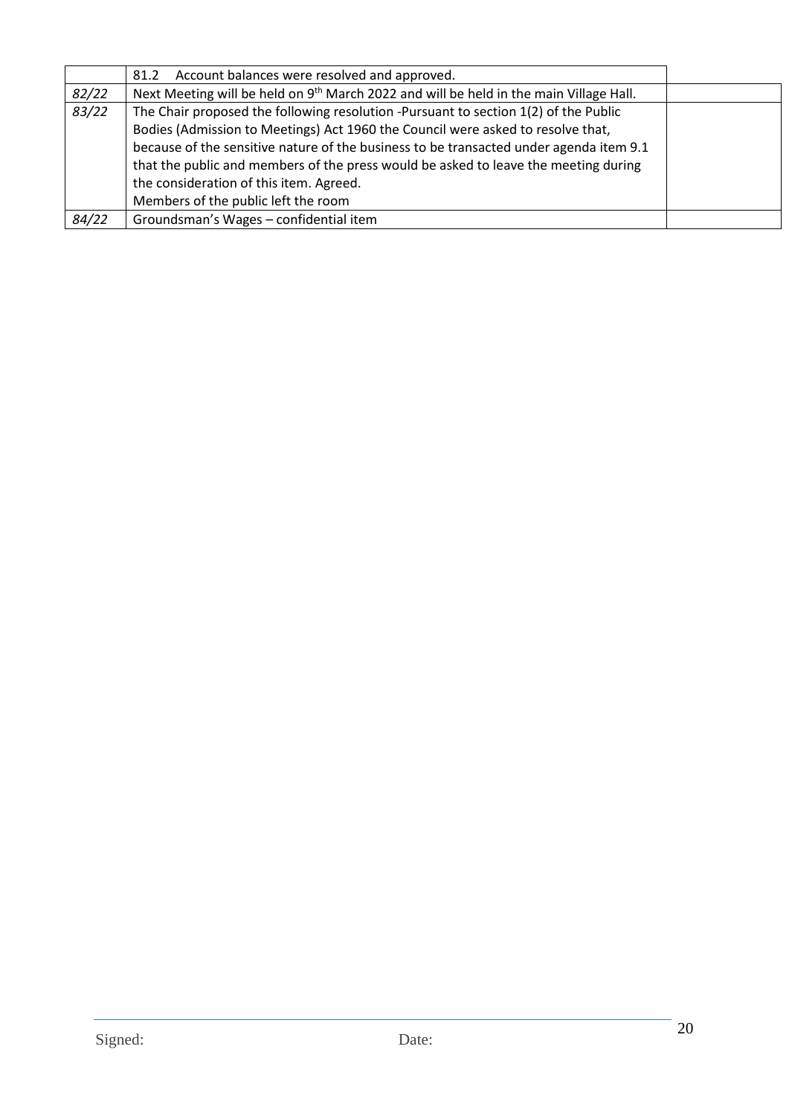|       | Account balances were resolved and approved.<br>81.2                                               |  |
|-------|----------------------------------------------------------------------------------------------------|--|
| 82/22 | Next Meeting will be held on 9 <sup>th</sup> March 2022 and will be held in the main Village Hall. |  |
| 83/22 | The Chair proposed the following resolution -Pursuant to section 1(2) of the Public                |  |
|       | Bodies (Admission to Meetings) Act 1960 the Council were asked to resolve that,                    |  |
|       | because of the sensitive nature of the business to be transacted under agenda item 9.1             |  |
|       | that the public and members of the press would be asked to leave the meeting during                |  |
|       | the consideration of this item. Agreed.                                                            |  |
|       | Members of the public left the room                                                                |  |
| 84/22 | Groundsman's Wages - confidential item                                                             |  |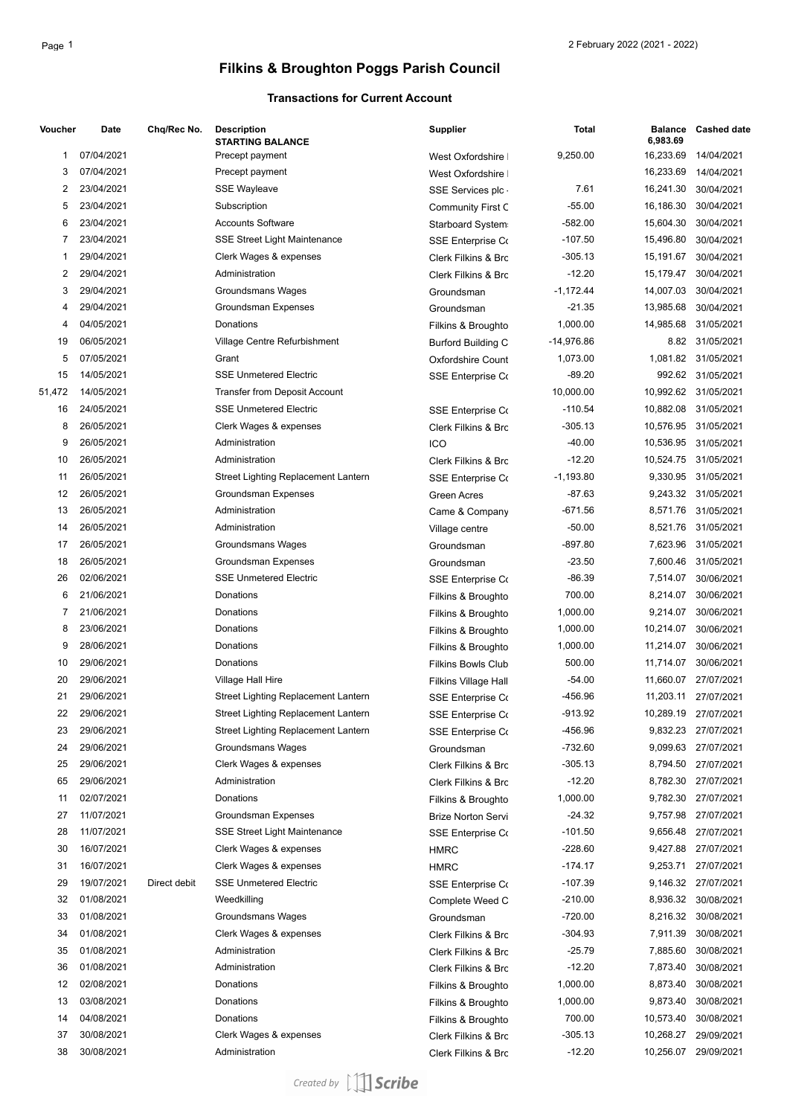## **Filkins & Broughton Poggs Parish Council**

#### **Transactions for Current Account**

| Voucher | Date                     | Chq/Rec No.  | <b>Description</b><br><b>STARTING BALANCE</b> | <b>Supplier</b>                                 | <b>Total</b> | <b>Balance</b><br>6,983.69 | <b>Cashed date</b>   |
|---------|--------------------------|--------------|-----------------------------------------------|-------------------------------------------------|--------------|----------------------------|----------------------|
| 1       | 07/04/2021               |              | Precept payment                               | West Oxfordshire                                | 9,250.00     | 16,233.69                  | 14/04/2021           |
| 3       | 07/04/2021               |              | Precept payment                               | West Oxfordshire                                |              | 16,233.69                  | 14/04/2021           |
| 2       | 23/04/2021               |              | <b>SSE Wayleave</b>                           | SSE Services plc.                               | 7.61         | 16,241.30                  | 30/04/2021           |
| 5       | 23/04/2021               |              | Subscription                                  | <b>Community First C</b>                        | $-55.00$     | 16,186.30                  | 30/04/2021           |
| 6       | 23/04/2021               |              | <b>Accounts Software</b>                      | Starboard System                                | -582.00      | 15,604.30                  | 30/04/2021           |
| 7       | 23/04/2021               |              | <b>SSE Street Light Maintenance</b>           | <b>SSE Enterprise Co</b>                        | $-107.50$    | 15,496.80                  | 30/04/2021           |
| 1       | 29/04/2021               |              | Clerk Wages & expenses                        | Clerk Filkins & Brc                             | $-305.13$    | 15,191.67                  | 30/04/2021           |
| 2       | 29/04/2021               |              | Administration                                | Clerk Filkins & Brc                             | $-12.20$     | 15,179.47                  | 30/04/2021           |
| 3       | 29/04/2021               |              | Groundsmans Wages                             | Groundsman                                      | $-1,172.44$  | 14,007.03                  | 30/04/2021           |
| 4       | 29/04/2021               |              | Groundsman Expenses                           | Groundsman                                      | $-21.35$     | 13,985.68                  | 30/04/2021           |
| 4       | 04/05/2021               |              | Donations                                     | Filkins & Broughto                              | 1,000.00     | 14,985.68                  | 31/05/2021           |
| 19      | 06/05/2021               |              | Village Centre Refurbishment                  | <b>Burford Building C</b>                       | -14,976.86   |                            | 8.82 31/05/2021      |
| 5       | 07/05/2021               |              | Grant                                         | <b>Oxfordshire Count</b>                        | 1,073.00     |                            | 1,081.82 31/05/2021  |
| 15      | 14/05/2021               |              | <b>SSE Unmetered Electric</b>                 | <b>SSE Enterprise Co</b>                        | $-89.20$     |                            | 992.62 31/05/2021    |
| 51,472  | 14/05/2021               |              | Transfer from Deposit Account                 |                                                 | 10,000.00    |                            | 10,992.62 31/05/2021 |
| 16      | 24/05/2021               |              | <b>SSE Unmetered Electric</b>                 | <b>SSE Enterprise Co</b>                        | $-110.54$    |                            | 10,882.08 31/05/2021 |
| 8       | 26/05/2021               |              | Clerk Wages & expenses                        | <b>Clerk Filkins &amp; Brc</b>                  | $-305.13$    | 10,576.95                  | 31/05/2021           |
| 9       | 26/05/2021               |              | Administration                                | ICO                                             | -40.00       | 10,536.95                  | 31/05/2021           |
| 10      | 26/05/2021               |              | Administration                                | Clerk Filkins & Brc                             | $-12.20$     | 10,524.75                  | 31/05/2021           |
| 11      | 26/05/2021               |              | Street Lighting Replacement Lantern           | <b>SSE Enterprise Co</b>                        | $-1,193.80$  |                            | 9,330.95 31/05/2021  |
| 12      | 26/05/2021               |              | Groundsman Expenses                           | <b>Green Acres</b>                              | $-87.63$     |                            | 9,243.32 31/05/2021  |
| 13      | 26/05/2021               |              | Administration                                | Came & Company                                  | $-671.56$    |                            | 8,571.76 31/05/2021  |
| 14      | 26/05/2021               |              | Administration                                | Village centre                                  | $-50.00$     | 8,521.76                   | 31/05/2021           |
| 17      | 26/05/2021               |              | Groundsmans Wages                             | Groundsman                                      | $-897.80$    |                            | 7,623.96 31/05/2021  |
| 18      | 26/05/2021               |              | Groundsman Expenses                           | Groundsman                                      | $-23.50$     | 7,600.46                   | 31/05/2021           |
| 26      | 02/06/2021               |              | <b>SSE Unmetered Electric</b>                 | <b>SSE Enterprise Co</b>                        | $-86.39$     | 7,514.07                   | 30/06/2021           |
| 6       | 21/06/2021               |              | Donations                                     | Filkins & Broughto                              | 700.00       | 8,214.07                   | 30/06/2021           |
| 7       | 21/06/2021               |              | Donations                                     | Filkins & Broughto                              | 1,000.00     | 9,214.07                   | 30/06/2021           |
| 8       | 23/06/2021               |              | Donations                                     | Filkins & Broughto                              | 1,000.00     | 10,214.07                  | 30/06/2021           |
| 9       | 28/06/2021               |              | Donations                                     | Filkins & Broughto                              | 1,000.00     | 11,214.07                  | 30/06/2021           |
| 10      | 29/06/2021               |              | Donations                                     | <b>Filkins Bowls Club</b>                       | 500.00       | 11,714.07                  | 30/06/2021           |
| 20      | 29/06/2021               |              | Village Hall Hire                             | <b>Filkins Village Hall</b>                     | $-54.00$     | 11,660.07                  | 27/07/2021           |
| 21      | 29/06/2021               |              | <b>Street Lighting Replacement Lantern</b>    | <b>SSE Enterprise Co</b>                        | -456.96      | 11,203.11                  | 27/07/2021           |
| 22      | 29/06/2021               |              | Street Lighting Replacement Lantern           | SSE Enterprise Co                               | -913.92      |                            | 10,289.19 27/07/2021 |
| 23      | 29/06/2021               |              | Street Lighting Replacement Lantern           | <b>SSE Enterprise Co</b>                        | -456.96      |                            | 9,832.23 27/07/2021  |
| 24      | 29/06/2021               |              | Groundsmans Wages                             |                                                 | -732.60      |                            | 9,099.63 27/07/2021  |
| 25      | 29/06/2021               |              | Clerk Wages & expenses                        | Groundsman                                      | -305.13      | 8,794.50                   | 27/07/2021           |
| 65      | 29/06/2021               |              | Administration                                | Clerk Filkins & Brc                             | $-12.20$     | 8,782.30                   | 27/07/2021           |
| 11      | 02/07/2021               |              | Donations                                     | Clerk Filkins & Brc                             | 1,000.00     |                            | 9,782.30 27/07/2021  |
| 27      | 11/07/2021               |              | Groundsman Expenses                           | Filkins & Broughto<br><b>Brize Norton Servi</b> | $-24.32$     |                            | 9,757.98 27/07/2021  |
| 28      | 11/07/2021               |              | <b>SSE Street Light Maintenance</b>           |                                                 | $-101.50$    |                            | 9,656.48 27/07/2021  |
| 30      | 16/07/2021               |              |                                               | <b>SSE Enterprise Co</b>                        | $-228.60$    | 9,427.88                   |                      |
|         |                          |              | Clerk Wages & expenses                        | <b>HMRC</b>                                     | $-174.17$    |                            | 27/07/2021           |
| 31      | 16/07/2021<br>19/07/2021 |              | Clerk Wages & expenses                        | <b>HMRC</b>                                     |              | 9,253.71                   | 27/07/2021           |
| 29      |                          | Direct debit | <b>SSE Unmetered Electric</b>                 | <b>SSE Enterprise Co</b>                        | $-107.39$    |                            | 9,146.32 27/07/2021  |
| 32      | 01/08/2021               |              | Weedkilling                                   | Complete Weed C                                 | $-210.00$    |                            | 8,936.32 30/08/2021  |
| 33      | 01/08/2021               |              | Groundsmans Wages                             | Groundsman                                      | $-720.00$    |                            | 8,216.32 30/08/2021  |
| 34      | 01/08/2021               |              | Clerk Wages & expenses                        | Clerk Filkins & Brc                             | -304.93      | 7,911.39                   | 30/08/2021           |
| 35      | 01/08/2021               |              | Administration                                | Clerk Filkins & Brc                             | $-25.79$     | 7,885.60                   | 30/08/2021           |
| 36      | 01/08/2021               |              | Administration                                | Clerk Filkins & Brc                             | $-12.20$     | 7,873.40                   | 30/08/2021           |
| 12      | 02/08/2021               |              | Donations                                     | Filkins & Broughto                              | 1,000.00     | 8,873.40                   | 30/08/2021           |
| 13      | 03/08/2021               |              | Donations                                     | Filkins & Broughto                              | 1,000.00     | 9,873.40                   | 30/08/2021           |
| 14      | 04/08/2021               |              | Donations                                     | Filkins & Broughto                              | 700.00       | 10,573.40                  | 30/08/2021           |
| 37      | 30/08/2021               |              | Clerk Wages & expenses                        | Clerk Filkins & Brc                             | -305.13      | 10,268.27                  | 29/09/2021           |
| 38      | 30/08/2021               |              | Administration                                | Clerk Filkins & Brc                             | $-12.20$     | 10,256.07                  | 29/09/2021           |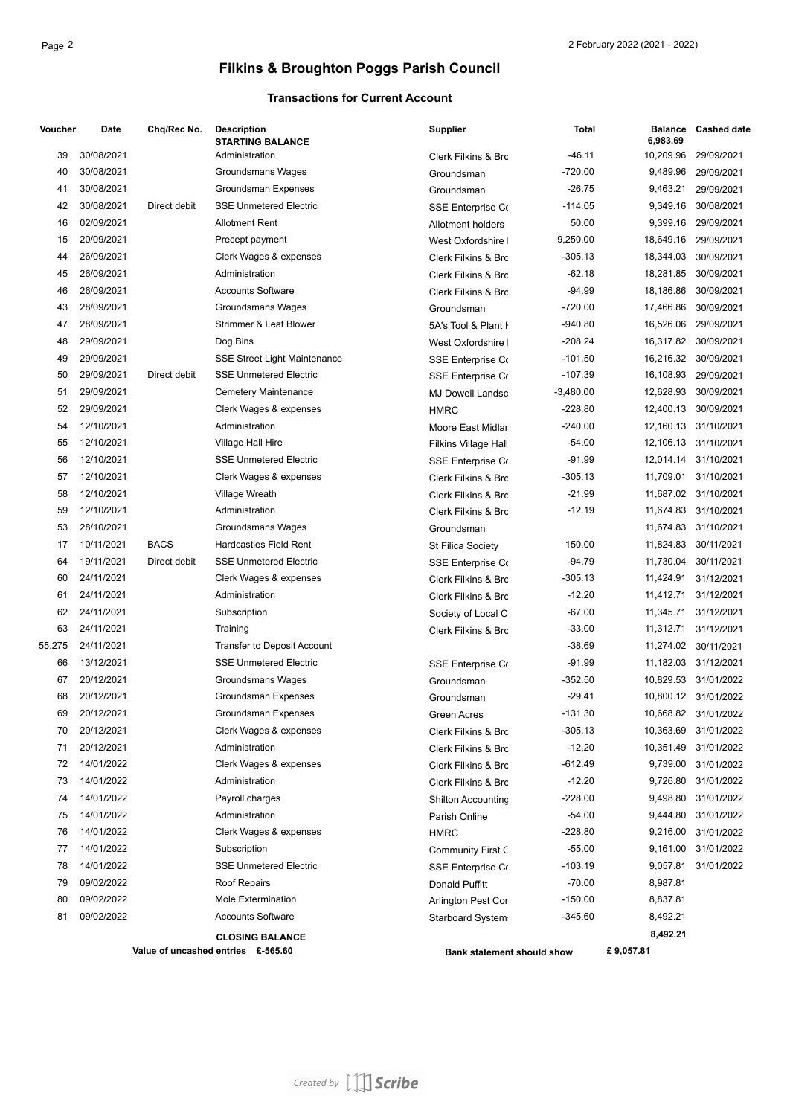## **Filkins & Broughton Poggs Parish Council**

#### **Transactions for Current Account**

| Voucher | Date       | Chq/Rec No.  | <b>Description</b><br><b>STARTING BALANCE</b> | <b>Supplier</b>                | <b>Total</b> | <b>Balance</b><br>6.983.69 | <b>Cashed date</b>   |
|---------|------------|--------------|-----------------------------------------------|--------------------------------|--------------|----------------------------|----------------------|
| 39      | 30/08/2021 |              | Administration                                | Clerk Filkins & Brc            | $-46.11$     | 10,209.96                  | 29/09/2021           |
| 40      | 30/08/2021 |              | Groundsmans Wages                             | Groundsman                     | $-720.00$    | 9,489.96                   | 29/09/2021           |
| 41      | 30/08/2021 |              | Groundsman Expenses                           | Groundsman                     | $-26.75$     | 9,463.21                   | 29/09/2021           |
| 42      | 30/08/2021 | Direct debit | <b>SSE Unmetered Electric</b>                 | <b>SSE Enterprise Co</b>       | $-114.05$    | 9,349.16                   | 30/08/2021           |
| 16      | 02/09/2021 |              | <b>Allotment Rent</b>                         | Allotment holders              | 50.00        | 9,399.16                   | 29/09/2021           |
| 15      | 20/09/2021 |              | Precept payment                               | West Oxfordshire               | 9,250.00     | 18,649.16                  | 29/09/2021           |
| 44      | 26/09/2021 |              | Clerk Wages & expenses                        | Clerk Filkins & Brc            | $-305.13$    | 18,344.03                  | 30/09/2021           |
| 45      | 26/09/2021 |              | Administration                                | Clerk Filkins & Brc            | $-62.18$     | 18,281.85                  | 30/09/2021           |
| 46      | 26/09/2021 |              | <b>Accounts Software</b>                      | <b>Clerk Filkins &amp; Brc</b> | $-94.99$     | 18,186.86                  | 30/09/2021           |
| 43      | 28/09/2021 |              | Groundsmans Wages                             | Groundsman                     | $-720.00$    | 17,466.86                  | 30/09/2021           |
| 47      | 28/09/2021 |              | Strimmer & Leaf Blower                        | 5A's Tool & Plant I            | $-940.80$    | 16,526.06                  | 29/09/2021           |
| 48      | 29/09/2021 |              | Dog Bins                                      | West Oxfordshire               | -208.24      | 16,317.82                  | 30/09/2021           |
| 49      | 29/09/2021 |              | SSE Street Light Maintenance                  | <b>SSE Enterprise Co</b>       | $-101.50$    |                            | 16,216.32 30/09/2021 |
| 50      | 29/09/2021 | Direct debit | <b>SSE Unmetered Electric</b>                 | <b>SSE Enterprise Co</b>       | $-107.39$    | 16,108.93                  | 29/09/2021           |
| 51      | 29/09/2021 |              | <b>Cemetery Maintenance</b>                   | <b>MJ Dowell Landsc</b>        | $-3,480.00$  | 12,628.93                  | 30/09/2021           |
| 52      | 29/09/2021 |              | Clerk Wages & expenses                        | <b>HMRC</b>                    | $-228.80$    | 12,400.13                  | 30/09/2021           |
| 54      | 12/10/2021 |              | Administration                                | Moore East Midlar              | $-240.00$    |                            | 12,160.13 31/10/2021 |
| 55      | 12/10/2021 |              | Village Hall Hire                             | Filkins Village Hall           | $-54.00$     |                            | 12,106.13 31/10/2021 |
| 56      | 12/10/2021 |              | <b>SSE Unmetered Electric</b>                 | <b>SSE Enterprise Co</b>       | $-91.99$     | 12,014.14                  | 31/10/2021           |
| 57      | 12/10/2021 |              | Clerk Wages & expenses                        | Clerk Filkins & Brc            | -305.13      | 11,709.01                  | 31/10/2021           |
| 58      | 12/10/2021 |              | Village Wreath                                | Clerk Filkins & Brc            | $-21.99$     |                            | 11,687.02 31/10/2021 |
| 59      | 12/10/2021 |              | Administration                                | Clerk Filkins & Brc            | $-12.19$     |                            | 11,674.83 31/10/2021 |
| 53      | 28/10/2021 |              | Groundsmans Wages                             | Groundsman                     |              |                            | 11,674.83 31/10/2021 |
| 17      | 10/11/2021 | <b>BACS</b>  | <b>Hardcastles Field Rent</b>                 | St Filica Society              | 150.00       | 11,824.83                  | 30/11/2021           |
| 64      | 19/11/2021 | Direct debit | <b>SSE Unmetered Electric</b>                 | <b>SSE Enterprise Co</b>       | $-94.79$     | 11,730.04                  | 30/11/2021           |
| 60      | 24/11/2021 |              | Clerk Wages & expenses                        | Clerk Filkins & Brc            | $-305.13$    | 11,424.91                  | 31/12/2021           |
| 61      | 24/11/2021 |              | Administration                                | Clerk Filkins & Brc            | $-12.20$     | 11,412.71                  | 31/12/2021           |
| 62      | 24/11/2021 |              | Subscription                                  | Society of Local C             | $-67.00$     | 11,345.71                  | 31/12/2021           |
| 63      | 24/11/2021 |              | Training                                      | Clerk Filkins & Brc            | $-33.00$     | 11,312.71                  | 31/12/2021           |
| 55,275  | 24/11/2021 |              | Transfer to Deposit Account                   |                                | $-38.69$     |                            | 11,274.02 30/11/2021 |
| 66      | 13/12/2021 |              | <b>SSE Unmetered Electric</b>                 | <b>SSE Enterprise Co</b>       | $-91.99$     |                            | 11,182.03 31/12/2021 |
| 67      | 20/12/2021 |              | <b>Groundsmans Wages</b>                      | Groundsman                     | -352.50      |                            | 10,829.53 31/01/2022 |
| 68      | 20/12/2021 |              | Groundsman Expenses                           | Groundsman                     | $-29.41$     |                            | 10,800.12 31/01/2022 |
| 69      | 20/12/2021 |              | Groundsman Expenses                           | Green Acres                    | -131.30      |                            | 10,668.82 31/01/2022 |
| 70      | 20/12/2021 |              | Clerk Wages & expenses                        | Clerk Filkins & Brc            | -305.13      |                            | 10,363.69 31/01/2022 |
| 71      | 20/12/2021 |              | Administration                                | Clerk Filkins & Brc            | $-12.20$     |                            | 10,351.49 31/01/2022 |
| 72      | 14/01/2022 |              | Clerk Wages & expenses                        | Clerk Filkins & Brc            | -612.49      |                            | 9,739.00 31/01/2022  |
| 73      | 14/01/2022 |              | Administration                                | Clerk Filkins & Brc            | $-12.20$     |                            | 9,726.80 31/01/2022  |
| 74      | 14/01/2022 |              | Payroll charges                               | <b>Shilton Accounting</b>      | -228.00      |                            | 9,498.80 31/01/2022  |
| 75      | 14/01/2022 |              | Administration                                | Parish Online                  | $-54.00$     |                            | 9,444.80 31/01/2022  |
| 76      | 14/01/2022 |              | Clerk Wages & expenses                        | <b>HMRC</b>                    | -228.80      |                            | 9,216.00 31/01/2022  |
| 77      | 14/01/2022 |              | Subscription                                  | <b>Community First C</b>       | $-55.00$     |                            | 9,161.00 31/01/2022  |
| 78      | 14/01/2022 |              | <b>SSE Unmetered Electric</b>                 | <b>SSE Enterprise Co</b>       | -103.19      |                            | 9,057.81 31/01/2022  |
| 79      | 09/02/2022 |              | Roof Repairs                                  | Donald Puffitt                 | $-70.00$     | 8,987.81                   |                      |
| 80      | 09/02/2022 |              | Mole Extermination                            | Arlington Pest Cor             | $-150.00$    | 8,837.81                   |                      |
| 81      | 09/02/2022 |              | <b>Accounts Software</b>                      | Starboard System               | -345.60      | 8,492.21                   |                      |
|         |            |              | <b>CLOSING BALANCE</b>                        |                                |              | 8,492.21                   |                      |
|         |            |              | Value of uncashed entries £-565.60            | Bank statement should show     |              | £9,057.81                  |                      |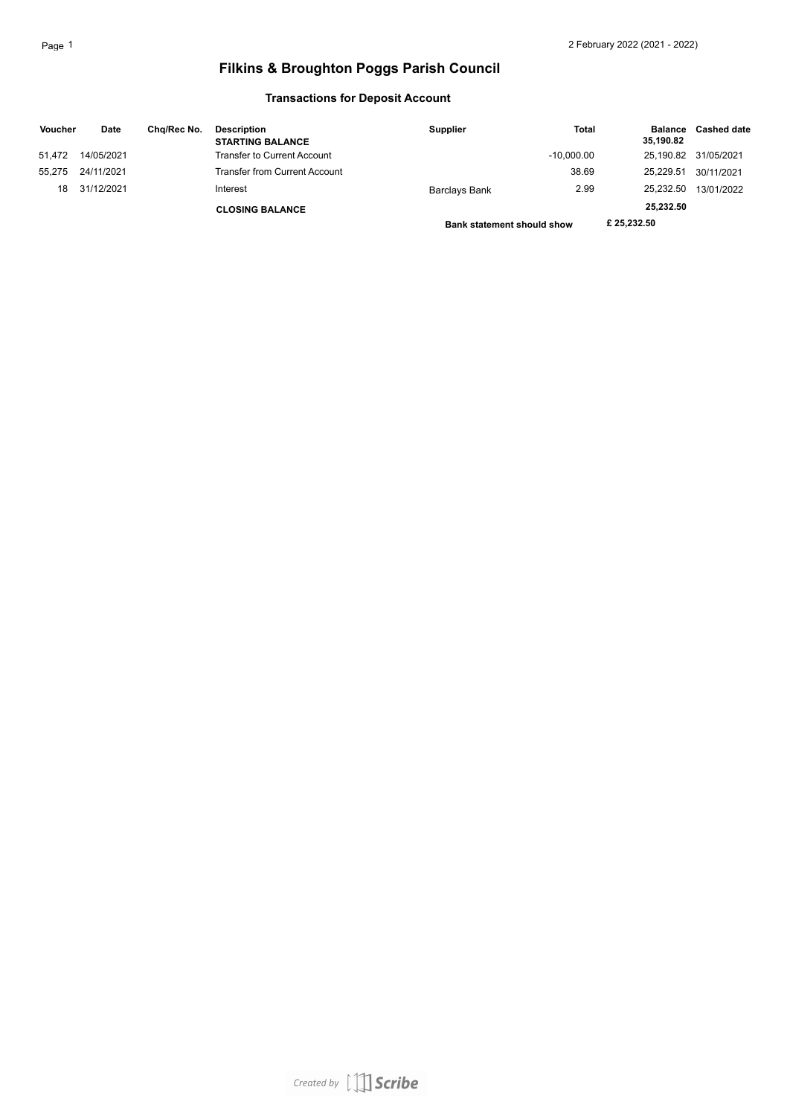## **Filkins & Broughton Poggs Parish Council**

#### **Transactions for Deposit Account**

| <b>Voucher</b> | Date       | Cha/Rec No. | <b>Description</b><br><b>STARTING BALANCE</b> | <b>Supplier</b>                   | <b>Total</b> | <b>Balance</b><br>35,190.82 | <b>Cashed date</b> |
|----------------|------------|-------------|-----------------------------------------------|-----------------------------------|--------------|-----------------------------|--------------------|
| 51.472         | 14/05/2021 |             | Transfer to Current Account                   |                                   | $-10.000.00$ | 25.190.82                   | 31/05/2021         |
| 55.275         | 24/11/2021 |             | <b>Transfer from Current Account</b>          |                                   | 38.69        | 25.229.51                   | 30/11/2021         |
| 18             | 31/12/2021 |             | Interest                                      | Barclays Bank                     | 2.99         | 25.232.50                   | 13/01/2022         |
|                |            |             | <b>CLOSING BALANCE</b>                        |                                   |              | 25,232.50                   |                    |
|                |            |             |                                               | <b>Bank statement should show</b> |              | £25.232.50                  |                    |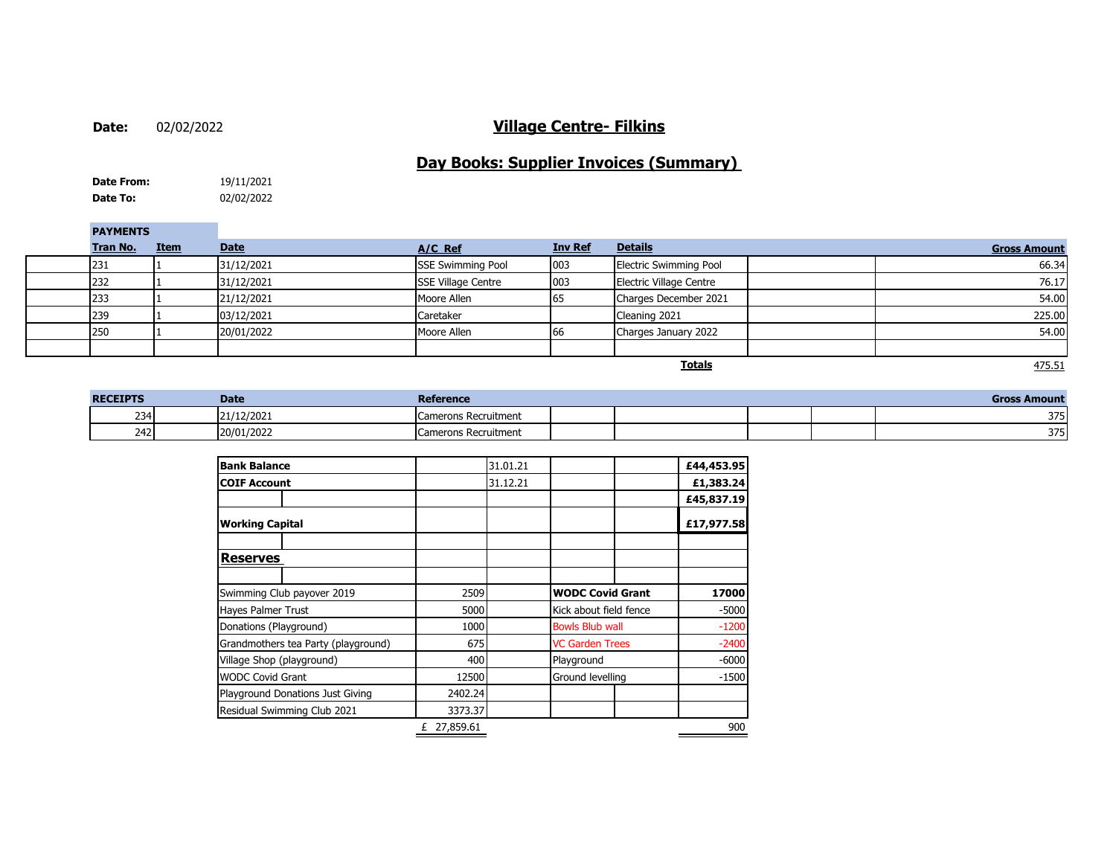**Date:**

#### 02/02/2022 **Village Centre- Filkins**

## **Day Books: Supplier Invoices (Summary)**

**Date To:** 02/02/2022 **Date From:** 19/11/2021

**PAYMENTS**

| ---------- |          |             |             |                           |                |                               |                                                 |
|------------|----------|-------------|-------------|---------------------------|----------------|-------------------------------|-------------------------------------------------|
|            | Tran No. | <b>Item</b> | <b>Date</b> | $A/C$ Ref                 | <b>Inv Ref</b> | <b>Details</b>                | <b>Gross Amount</b>                             |
|            | 231      |             | 31/12/2021  | <b>SSE Swimming Pool</b>  | 003            | <b>Electric Swimming Pool</b> | 66.34                                           |
|            | 232      |             | 31/12/2021  | <b>SSE Village Centre</b> | 003            | Electric Village Centre       | 76.17                                           |
|            | 233      |             | 21/12/2021  | Moore Allen               | 65             | Charges December 2021         | 54.00                                           |
|            | 239      |             | 03/12/2021  | Caretaker                 |                | Cleaning 2021                 | 225.00                                          |
|            | 250      |             | 20/01/2022  | Moore Allen               | 66             | Charges January 2022          | 54.00                                           |
|            |          |             |             |                           |                |                               |                                                 |
|            |          |             |             |                           |                | <b>Totale</b>                 | $A$ <sub>7</sub> $E$ <sub><math>F</math>1</sub> |

**Totals**

475.51

| <b>RECEIPTS</b> | <b>Date</b> | Reference                           |  |  | Gross<br>Amount |
|-----------------|-------------|-------------------------------------|--|--|-----------------|
| 234             | 21/12/2021  | Camerons Recruitment<br><b>Lai</b>  |  |  | 275<br>. / د    |
| 242             | 20/01/2022  | Camerons Recruitment<br><b>Lall</b> |  |  | つつに<br>. / د    |

| <b>Bank Balance</b>                 |             | 31.01.21 |                         |            | £44,453.95 |
|-------------------------------------|-------------|----------|-------------------------|------------|------------|
| <b>COIF Account</b>                 |             | 31.12.21 |                         |            | £1,383.24  |
|                                     |             |          |                         |            | £45,837.19 |
| <b>Working Capital</b>              |             |          |                         |            | £17,977.58 |
| <b>Reserves</b>                     |             |          |                         |            |            |
|                                     |             |          |                         |            |            |
| Swimming Club payover 2019          | 2509        |          | <b>WODC Covid Grant</b> |            | 17000      |
| <b>Hayes Palmer Trust</b>           | 5000        |          | Kick about field fence  |            | $-5000$    |
| Donations (Playground)              | 1000        |          | <b>Bowls Blub wall</b>  |            | $-1200$    |
| Grandmothers tea Party (playground) | 675         |          | <b>VC Garden Trees</b>  |            | $-2400$    |
| Village Shop (playground)           | 400         |          |                         | Playground |            |
| <b>WODC Covid Grant</b>             | 12500       |          | Ground levelling        |            | $-1500$    |
| Playground Donations Just Giving    | 2402.24     |          |                         |            |            |
| Residual Swimming Club 2021         | 3373.37     |          |                         |            |            |
|                                     | £ 27,859.61 |          |                         |            | 900        |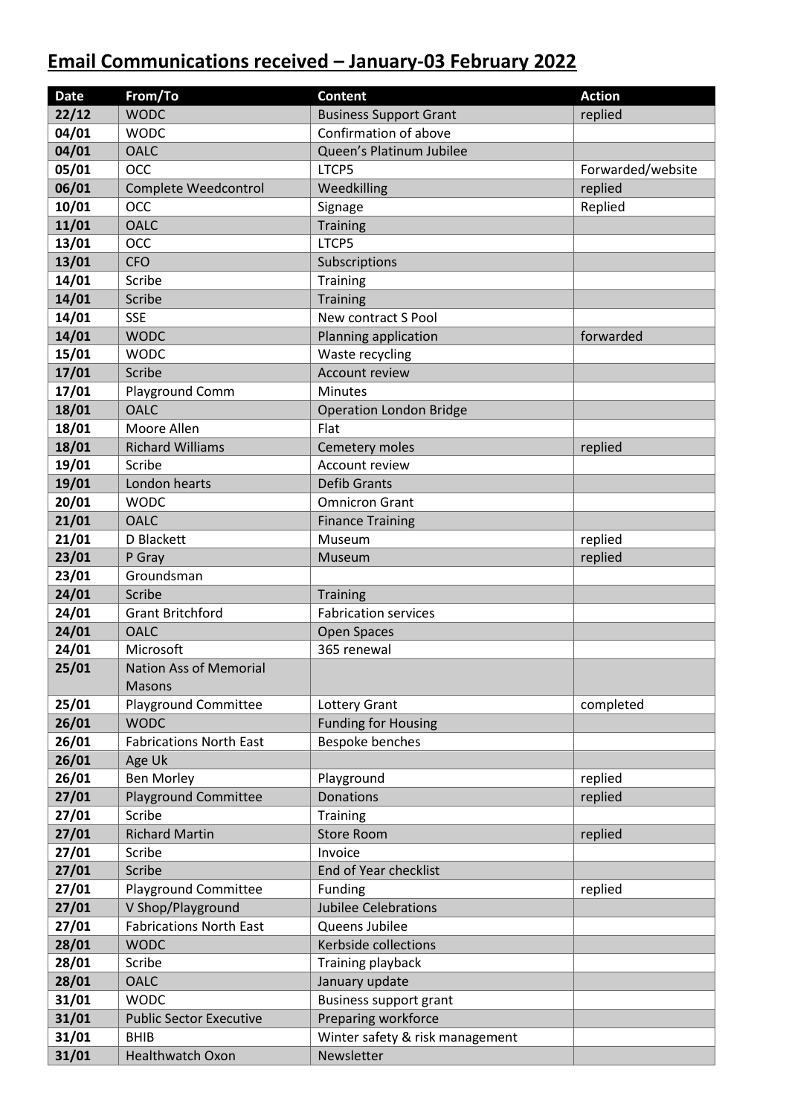## **Email Communications received – January-03 February 2022**

| <b>Date</b> | From/To                        | <b>Content</b>                  | <b>Action</b>     |
|-------------|--------------------------------|---------------------------------|-------------------|
| 22/12       | <b>WODC</b>                    | <b>Business Support Grant</b>   | replied           |
| 04/01       | <b>WODC</b>                    | Confirmation of above           |                   |
| 04/01       | <b>OALC</b>                    | Queen's Platinum Jubilee        |                   |
| 05/01       | <b>OCC</b>                     | LTCP5                           | Forwarded/website |
| 06/01       | Complete Weedcontrol           | Weedkilling                     | replied           |
| 10/01       | <b>OCC</b>                     | Signage                         | Replied           |
| 11/01       | <b>OALC</b>                    | <b>Training</b>                 |                   |
| 13/01       | <b>OCC</b>                     | LTCP5                           |                   |
| 13/01       | <b>CFO</b>                     | Subscriptions                   |                   |
| 14/01       | Scribe                         | <b>Training</b>                 |                   |
| 14/01       | Scribe                         | <b>Training</b>                 |                   |
| 14/01       | <b>SSE</b>                     | New contract S Pool             |                   |
| 14/01       | <b>WODC</b>                    | Planning application            | forwarded         |
| 15/01       | <b>WODC</b>                    | Waste recycling                 |                   |
| 17/01       | Scribe                         | <b>Account review</b>           |                   |
| 17/01       | Playground Comm                | <b>Minutes</b>                  |                   |
| 18/01       | <b>OALC</b>                    | <b>Operation London Bridge</b>  |                   |
| 18/01       | Moore Allen                    | Flat                            |                   |
| 18/01       | <b>Richard Williams</b>        | Cemetery moles                  | replied           |
| 19/01       | Scribe                         | Account review                  |                   |
| 19/01       | London hearts                  | <b>Defib Grants</b>             |                   |
| 20/01       | <b>WODC</b>                    | <b>Omnicron Grant</b>           |                   |
| 21/01       | <b>OALC</b>                    | <b>Finance Training</b>         |                   |
| 21/01       | D Blackett                     | Museum                          | replied           |
| 23/01       | P Gray                         | Museum                          | replied           |
| 23/01       | Groundsman                     |                                 |                   |
| 24/01       | Scribe                         | <b>Training</b>                 |                   |
| 24/01       | <b>Grant Britchford</b>        | <b>Fabrication services</b>     |                   |
| 24/01       | <b>OALC</b>                    | Open Spaces                     |                   |
| 24/01       | Microsoft                      | 365 renewal                     |                   |
| 25/01       | <b>Nation Ass of Memorial</b>  |                                 |                   |
|             | <b>Masons</b>                  |                                 |                   |
| 25/01       | <b>Playground Committee</b>    | Lottery Grant                   | completed         |
| 26/01       | <b>WODC</b>                    | <b>Funding for Housing</b>      |                   |
| 26/01       | <b>Fabrications North East</b> | Bespoke benches                 |                   |
| 26/01       | Age Uk                         |                                 |                   |
| 26/01       | <b>Ben Morley</b>              | Playground                      | replied           |
| 27/01       | <b>Playground Committee</b>    | <b>Donations</b>                | replied           |
| 27/01       | Scribe                         | <b>Training</b>                 |                   |
| 27/01       | <b>Richard Martin</b>          | <b>Store Room</b>               | replied           |
| 27/01       | Scribe                         | Invoice                         |                   |
| 27/01       | Scribe                         | End of Year checklist           |                   |
| 27/01       | <b>Playground Committee</b>    | Funding                         | replied           |
| 27/01       | V Shop/Playground              | <b>Jubilee Celebrations</b>     |                   |
| 27/01       | <b>Fabrications North East</b> | Queens Jubilee                  |                   |
| 28/01       | <b>WODC</b>                    | Kerbside collections            |                   |
| 28/01       | Scribe                         | Training playback               |                   |
| 28/01       | <b>OALC</b>                    | January update                  |                   |
| 31/01       | <b>WODC</b>                    | Business support grant          |                   |
| 31/01       | <b>Public Sector Executive</b> | Preparing workforce             |                   |
| 31/01       | <b>BHIB</b>                    | Winter safety & risk management |                   |
| 31/01       | <b>Healthwatch Oxon</b>        | Newsletter                      |                   |